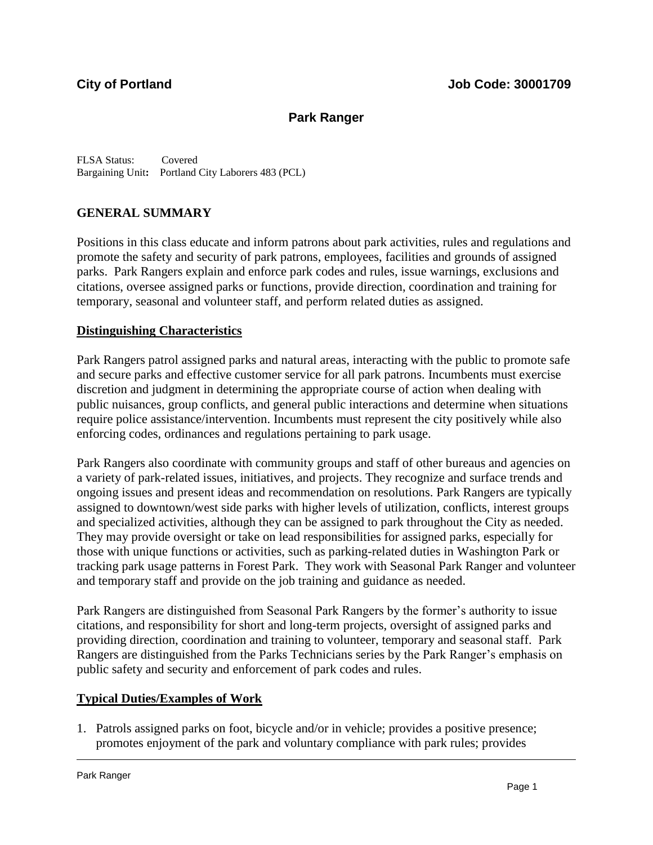# **Park Ranger**

FLSA Status: Covered Bargaining Unit**:** Portland City Laborers 483 (PCL)

## **GENERAL SUMMARY**

Positions in this class educate and inform patrons about park activities, rules and regulations and promote the safety and security of park patrons, employees, facilities and grounds of assigned parks. Park Rangers explain and enforce park codes and rules, issue warnings, exclusions and citations, oversee assigned parks or functions, provide direction, coordination and training for temporary, seasonal and volunteer staff, and perform related duties as assigned.

### **Distinguishing Characteristics**

Park Rangers patrol assigned parks and natural areas, interacting with the public to promote safe and secure parks and effective customer service for all park patrons. Incumbents must exercise discretion and judgment in determining the appropriate course of action when dealing with public nuisances, group conflicts, and general public interactions and determine when situations require police assistance/intervention. Incumbents must represent the city positively while also enforcing codes, ordinances and regulations pertaining to park usage.

Park Rangers also coordinate with community groups and staff of other bureaus and agencies on a variety of park-related issues, initiatives, and projects. They recognize and surface trends and ongoing issues and present ideas and recommendation on resolutions. Park Rangers are typically assigned to downtown/west side parks with higher levels of utilization, conflicts, interest groups and specialized activities, although they can be assigned to park throughout the City as needed. They may provide oversight or take on lead responsibilities for assigned parks, especially for those with unique functions or activities, such as parking-related duties in Washington Park or tracking park usage patterns in Forest Park. They work with Seasonal Park Ranger and volunteer and temporary staff and provide on the job training and guidance as needed.

Park Rangers are distinguished from Seasonal Park Rangers by the former's authority to issue citations, and responsibility for short and long-term projects, oversight of assigned parks and providing direction, coordination and training to volunteer, temporary and seasonal staff. Park Rangers are distinguished from the Parks Technicians series by the Park Ranger's emphasis on public safety and security and enforcement of park codes and rules.

### **Typical Duties/Examples of Work**

1. Patrols assigned parks on foot, bicycle and/or in vehicle; provides a positive presence; promotes enjoyment of the park and voluntary compliance with park rules; provides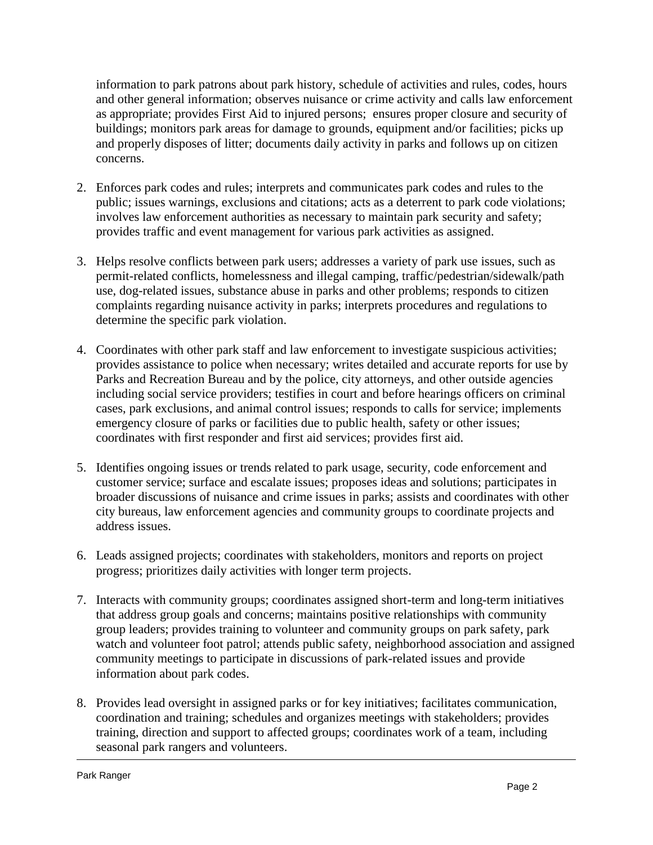information to park patrons about park history, schedule of activities and rules, codes, hours and other general information; observes nuisance or crime activity and calls law enforcement as appropriate; provides First Aid to injured persons; ensures proper closure and security of buildings; monitors park areas for damage to grounds, equipment and/or facilities; picks up and properly disposes of litter; documents daily activity in parks and follows up on citizen concerns.

- 2. Enforces park codes and rules; interprets and communicates park codes and rules to the public; issues warnings, exclusions and citations; acts as a deterrent to park code violations; involves law enforcement authorities as necessary to maintain park security and safety; provides traffic and event management for various park activities as assigned.
- 3. Helps resolve conflicts between park users; addresses a variety of park use issues, such as permit-related conflicts, homelessness and illegal camping, traffic/pedestrian/sidewalk/path use, dog-related issues, substance abuse in parks and other problems; responds to citizen complaints regarding nuisance activity in parks; interprets procedures and regulations to determine the specific park violation.
- 4. Coordinates with other park staff and law enforcement to investigate suspicious activities; provides assistance to police when necessary; writes detailed and accurate reports for use by Parks and Recreation Bureau and by the police, city attorneys, and other outside agencies including social service providers; testifies in court and before hearings officers on criminal cases, park exclusions, and animal control issues; responds to calls for service; implements emergency closure of parks or facilities due to public health, safety or other issues; coordinates with first responder and first aid services; provides first aid.
- 5. Identifies ongoing issues or trends related to park usage, security, code enforcement and customer service; surface and escalate issues; proposes ideas and solutions; participates in broader discussions of nuisance and crime issues in parks; assists and coordinates with other city bureaus, law enforcement agencies and community groups to coordinate projects and address issues.
- 6. Leads assigned projects; coordinates with stakeholders, monitors and reports on project progress; prioritizes daily activities with longer term projects.
- 7. Interacts with community groups; coordinates assigned short-term and long-term initiatives that address group goals and concerns; maintains positive relationships with community group leaders; provides training to volunteer and community groups on park safety, park watch and volunteer foot patrol; attends public safety, neighborhood association and assigned community meetings to participate in discussions of park-related issues and provide information about park codes.
- 8. Provides lead oversight in assigned parks or for key initiatives; facilitates communication, coordination and training; schedules and organizes meetings with stakeholders; provides training, direction and support to affected groups; coordinates work of a team, including seasonal park rangers and volunteers.